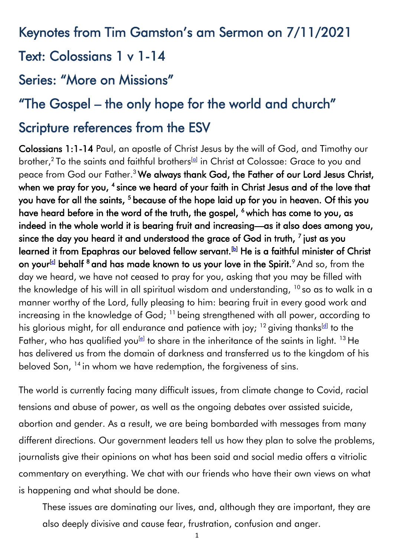# Keynotes from Tim Gamston's am Sermon on 7/11/2021

## Text: Colossians 1 v 1-14

## Series: "More on Missions"

# "The Gospel – the only hope for the world and church"

# Scripture references from the ESV

Colossians 1:1-14 Paul, an apostle of Christ Jesus by the will of God, and Timothy our brother,<sup>2</sup> To the saints and faithful brothers<sup>[\[a\]](https://www.biblegateway.com/passage/?search=colossians+1&version=ESV#fen-ESV-29451a)</sup> in Christ at Colossae: Grace to you and peace from God our Father.<sup>3</sup> We always thank God, the Father of our Lord Jesus Christ, when we pray for you,  $^4$  since we heard of your faith in Christ Jesus and of the love that you have for all the saints, <sup>5</sup> because of the hope laid up for you in heaven. Of this you have heard before in the word of the truth, the gospel, <sup>6</sup> which has come to you, as indeed in the whole world it is bearing fruit and increasing—as it also does among you, since the day you heard it and understood the grace of God in truth,  $^7$  just as you learned it from Epaphras our beloved fellow servant.<sup>[\[b\]](https://www.biblegateway.com/passage/?search=colossians+1&version=ESV#fen-ESV-29456b)</sup> He is a faithful minister of Christ on your<sup>[\[c\]](https://www.biblegateway.com/passage/?search=colossians+1&version=ESV#fen-ESV-29456c)</sup> behalf <sup>8</sup> and has made known to us your love in the Spirit.<sup>9</sup> And so, from the day we heard, we have not ceased to pray for you, asking that you may be filled with the knowledge of his will in all spiritual wisdom and understanding,  $10$  so as to walk in a manner worthy of the Lord, fully pleasing to him: bearing fruit in every good work and increasing in the knowledge of God; <sup>11</sup> being strengthened with all power, according to his glorious might, for all endurance and patience with joy;  $^{12}$  giving thanks $^{\text{[d]}}$  $^{\text{[d]}}$  $^{\text{[d]}}$  to the Father, who has qualified you $^{[e]}$  $^{[e]}$  $^{[e]}$  to share in the inheritance of the saints in light.  $^{13}$  He has delivered us from the domain of darkness and transferred us to the kingdom of his beloved Son, <sup>14</sup> in whom we have redemption, the forgiveness of sins.

The world is currently facing many difficult issues, from climate change to Covid, racial tensions and abuse of power, as well as the ongoing debates over assisted suicide, abortion and gender. As a result, we are being bombarded with messages from many different directions. Our government leaders tell us how they plan to solve the problems, journalists give their opinions on what has been said and social media offers a vitriolic commentary on everything. We chat with our friends who have their own views on what is happening and what should be done.

These issues are dominating our lives, and, although they are important, they are also deeply divisive and cause fear, frustration, confusion and anger.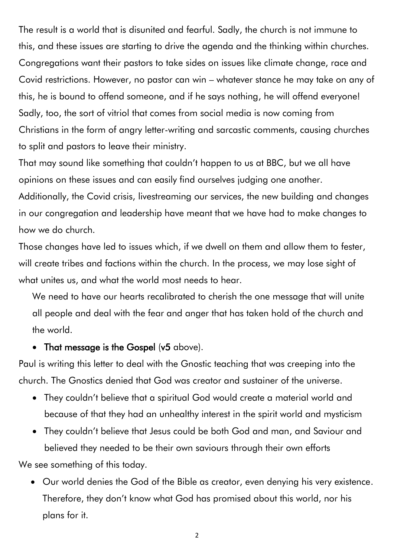The result is a world that is disunited and fearful. Sadly, the church is not immune to this, and these issues are starting to drive the agenda and the thinking within churches. Congregations want their pastors to take sides on issues like climate change, race and Covid restrictions. However, no pastor can win – whatever stance he may take on any of this, he is bound to offend someone, and if he says nothing, he will offend everyone! Sadly, too, the sort of vitriol that comes from social media is now coming from Christians in the form of angry letter-writing and sarcastic comments, causing churches to split and pastors to leave their ministry.

That may sound like something that couldn't happen to us at BBC, but we all have opinions on these issues and can easily find ourselves judging one another. Additionally, the Covid crisis, livestreaming our services, the new building and changes in our congregation and leadership have meant that we have had to make changes to how we do church.

Those changes have led to issues which, if we dwell on them and allow them to fester, will create tribes and factions within the church. In the process, we may lose sight of what unites us, and what the world most needs to hear.

We need to have our hearts recalibrated to cherish the one message that will unite all people and deal with the fear and anger that has taken hold of the church and the world.

#### • That message is the Gospel (v5 above).

Paul is writing this letter to deal with the Gnostic teaching that was creeping into the church. The Gnostics denied that God was creator and sustainer of the universe.

- They couldn't believe that a spiritual God would create a material world and because of that they had an unhealthy interest in the spirit world and mysticism
- They couldn't believe that Jesus could be both God and man, and Saviour and believed they needed to be their own saviours through their own efforts We see something of this today.

• Our world denies the God of the Bible as creator, even denying his very existence. Therefore, they don't know what God has promised about this world, nor his plans for it.

2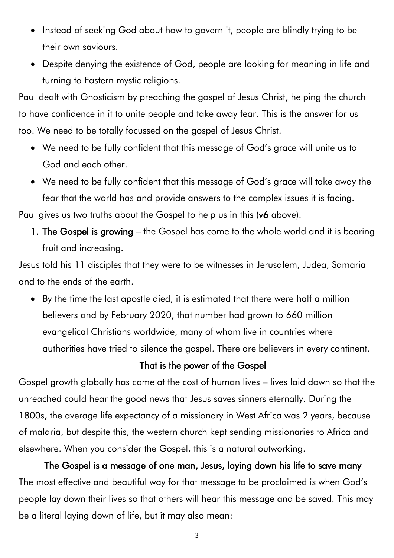- Instead of seeking God about how to govern it, people are blindly trying to be their own saviours.
- Despite denying the existence of God, people are looking for meaning in life and turning to Eastern mystic religions.

Paul dealt with Gnosticism by preaching the gospel of Jesus Christ, helping the church to have confidence in it to unite people and take away fear. This is the answer for us too. We need to be totally focussed on the gospel of Jesus Christ.

- We need to be fully confident that this message of God's grace will unite us to God and each other.
- We need to be fully confident that this message of God's grace will take away the fear that the world has and provide answers to the complex issues it is facing. Paul gives us two truths about the Gospel to help us in this (v6 above).
	- 1. The Gospel is growing the Gospel has come to the whole world and it is bearing fruit and increasing.

Jesus told his 11 disciples that they were to be witnesses in Jerusalem, Judea, Samaria and to the ends of the earth.

• By the time the last apostle died, it is estimated that there were half a million believers and by February 2020, that number had grown to 660 million evangelical Christians worldwide, many of whom live in countries where authorities have tried to silence the gospel. There are believers in every continent.

### That is the power of the Gospel

Gospel growth globally has come at the cost of human lives – lives laid down so that the unreached could hear the good news that Jesus saves sinners eternally. During the 1800s, the average life expectancy of a missionary in West Africa was 2 years, because of malaria, but despite this, the western church kept sending missionaries to Africa and elsewhere. When you consider the Gospel, this is a natural outworking.

The Gospel is a message of one man, Jesus, laying down his life to save many The most effective and beautiful way for that message to be proclaimed is when God's people lay down their lives so that others will hear this message and be saved. This may be a literal laying down of life, but it may also mean: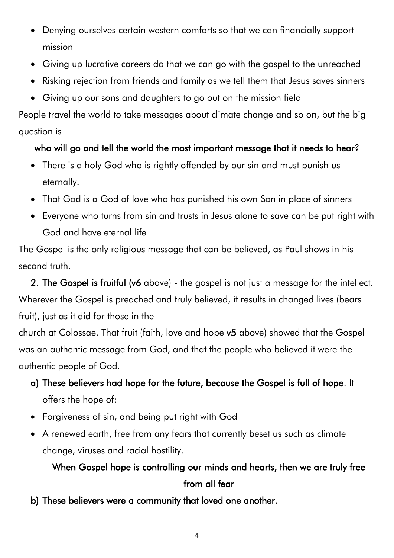- Denying ourselves certain western comforts so that we can financially support mission
- Giving up lucrative careers do that we can go with the gospel to the unreached
- Risking rejection from friends and family as we tell them that Jesus saves sinners
- Giving up our sons and daughters to go out on the mission field

People travel the world to take messages about climate change and so on, but the big question is

### who will go and tell the world the most important message that it needs to hear?

- There is a holy God who is rightly offended by our sin and must punish us eternally.
- That God is a God of love who has punished his own Son in place of sinners
- Everyone who turns from sin and trusts in Jesus alone to save can be put right with God and have eternal life

The Gospel is the only religious message that can be believed, as Paul shows in his second truth.

2. The Gospel is fruitful (v6 above) - the gospel is not just a message for the intellect. Wherever the Gospel is preached and truly believed, it results in changed lives (bears fruit), just as it did for those in the

church at Colossae. That fruit (faith, love and hope v5 above) showed that the Gospel was an authentic message from God, and that the people who believed it were the authentic people of God.

- a) These believers had hope for the future, because the Gospel is full of hope. It offers the hope of:
- Forgiveness of sin, and being put right with God
- A renewed earth, free from any fears that currently beset us such as climate change, viruses and racial hostility.

## When Gospel hope is controlling our minds and hearts, then we are truly free from all fear

b) These believers were a community that loved one another.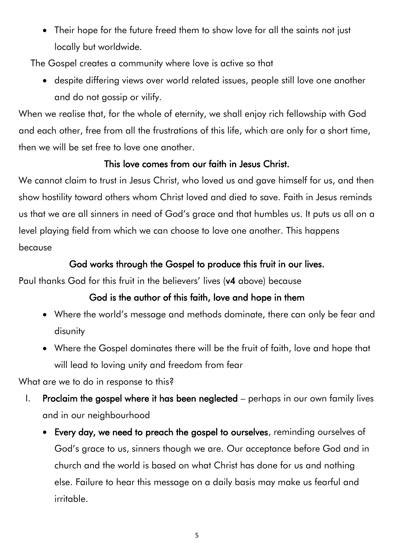• Their hope for the future freed them to show love for all the saints not just locally but worldwide.

The Gospel creates a community where love is active so that

• despite differing views over world related issues, people still love one another and do not gossip or vilify.

When we realise that, for the whole of eternity, we shall enjoy rich fellowship with God and each other, free from all the frustrations of this life, which are only for a short time, then we will be set free to love one another.

### This love comes from our faith in Jesus Christ.

We cannot claim to trust in Jesus Christ, who loved us and gave himself for us, and then show hostility toward others whom Christ loved and died to save. Faith in Jesus reminds us that we are all sinners in need of God's grace and that humbles us. It puts us all on a level playing field from which we can choose to love one another. This happens because

### God works through the Gospel to produce this fruit in our lives.

Paul thanks God for this fruit in the believers' lives (v4 above) because

### God is the author of this faith, love and hope in them

- Where the world's message and methods dominate, there can only be fear and disunity
- Where the Gospel dominates there will be the fruit of faith, love and hope that will lead to loving unity and freedom from fear

What are we to do in response to this?

- I. Proclaim the gospel where it has been neglected perhaps in our own family lives and in our neighbourhood
	- Every day, we need to preach the gospel to ourselves, reminding ourselves of God's grace to us, sinners though we are. Our acceptance before God and in church and the world is based on what Christ has done for us and nothing else. Failure to hear this message on a daily basis may make us fearful and irritable.